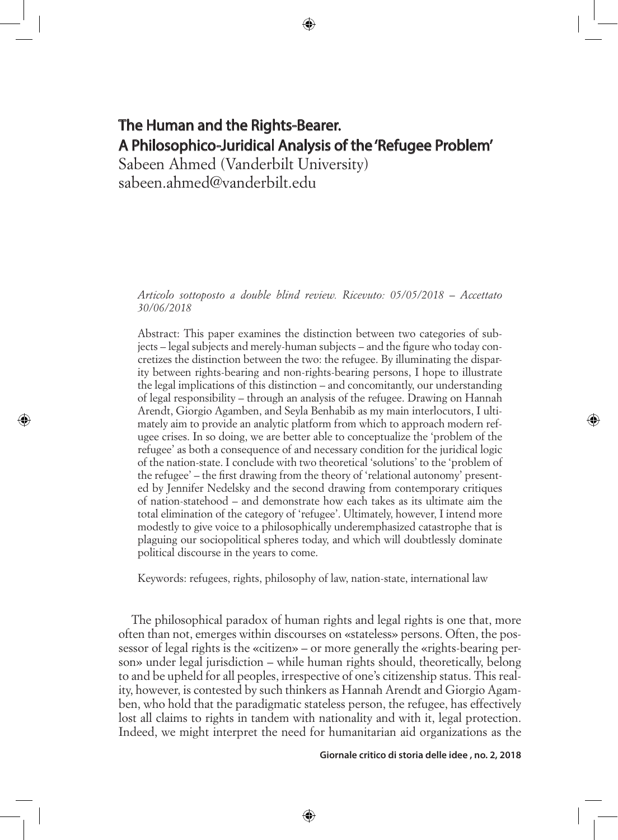# The Human and the Rights-Bearer. A Philosophico-Juridical Analysis of the 'Refugee Problem'

Sabeen Ahmed (Vanderbilt University) sabeen.ahmed@vanderbilt.edu

⊕

*Articolo sottoposto a double blind review. Ricevuto: 05/05/2018 – Accettato 30/06/2018*

Abstract: This paper examines the distinction between two categories of subjects – legal subjects and merely-human subjects – and the figure who today concretizes the distinction between the two: the refugee. By illuminating the disparity between rights-bearing and non-rights-bearing persons, I hope to illustrate the legal implications of this distinction – and concomitantly, our understanding of legal responsibility – through an analysis of the refugee. Drawing on Hannah Arendt, Giorgio Agamben, and Seyla Benhabib as my main interlocutors, I ultimately aim to provide an analytic platform from which to approach modern refugee crises. In so doing, we are better able to conceptualize the 'problem of the refugee' as both a consequence of and necessary condition for the juridical logic of the nation-state. I conclude with two theoretical 'solutions' to the 'problem of the refugee' – the first drawing from the theory of 'relational autonomy' presented by Jennifer Nedelsky and the second drawing from contemporary critiques of nation-statehood – and demonstrate how each takes as its ultimate aim the total elimination of the category of 'refugee'. Ultimately, however, I intend more modestly to give voice to a philosophically underemphasized catastrophe that is plaguing our sociopolitical spheres today, and which will doubtlessly dominate political discourse in the years to come.

Keywords: refugees, rights, philosophy of law, nation-state, international law

The philosophical paradox of human rights and legal rights is one that, more often than not, emerges within discourses on «stateless» persons. Often, the possessor of legal rights is the «citizen» – or more generally the «rights-bearing person» under legal jurisdiction – while human rights should, theoretically, belong to and be upheld for all peoples, irrespective of one's citizenship status. This reality, however, is contested by such thinkers as Hannah Arendt and Giorgio Agamben, who hold that the paradigmatic stateless person, the refugee, has effectively lost all claims to rights in tandem with nationality and with it, legal protection. Indeed, we might interpret the need for humanitarian aid organizations as the

⊕

**Giornale critico di storia delle idee , no. 2, 2018**

⊕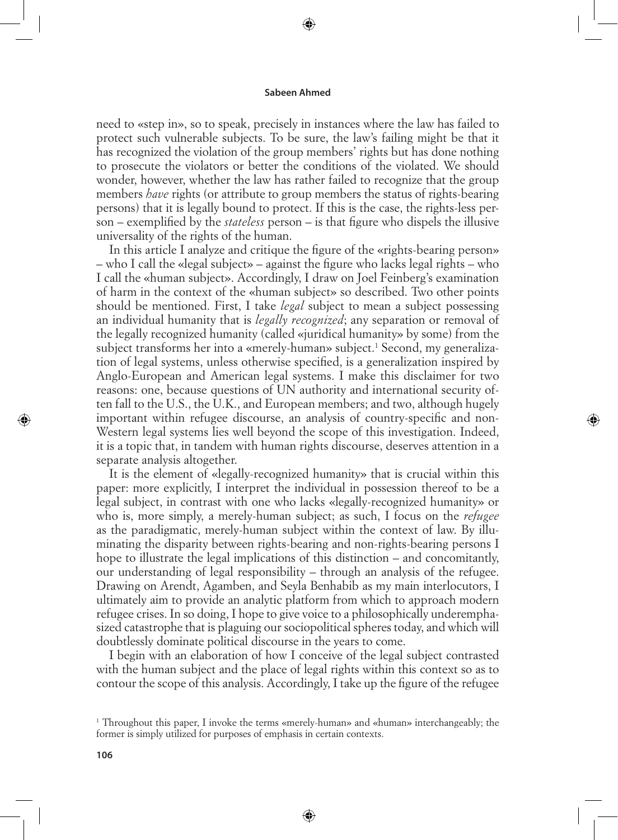⊕

need to «step in», so to speak, precisely in instances where the law has failed to protect such vulnerable subjects. To be sure, the law's failing might be that it has recognized the violation of the group members' rights but has done nothing to prosecute the violators or better the conditions of the violated. We should wonder, however, whether the law has rather failed to recognize that the group members *have* rights (or attribute to group members the status of rights-bearing persons) that it is legally bound to protect. If this is the case, the rights-less person – exemplified by the *stateless* person – is that figure who dispels the illusive universality of the rights of the human.

In this article I analyze and critique the figure of the «rights-bearing person» – who I call the «legal subject» – against the figure who lacks legal rights – who I call the «human subject». Accordingly, I draw on Joel Feinberg's examination of harm in the context of the «human subject» so described. Two other points should be mentioned. First, I take *legal* subject to mean a subject possessing an individual humanity that is *legally recognized*; any separation or removal of the legally recognized humanity (called «juridical humanity» by some) from the subject transforms her into a «merely-human» subject.<sup>1</sup> Second, my generalization of legal systems, unless otherwise specified, is a generalization inspired by Anglo-European and American legal systems. I make this disclaimer for two reasons: one, because questions of UN authority and international security often fall to the U.S., the U.K., and European members; and two, although hugely important within refugee discourse, an analysis of country-specific and non-Western legal systems lies well beyond the scope of this investigation. Indeed, it is a topic that, in tandem with human rights discourse, deserves attention in a separate analysis altogether.

⇔

It is the element of «legally-recognized humanity» that is crucial within this paper: more explicitly, I interpret the individual in possession thereof to be a legal subject, in contrast with one who lacks «legally-recognized humanity» or who is, more simply, a merely-human subject; as such, I focus on the *refugee* as the paradigmatic, merely-human subject within the context of law. By illuminating the disparity between rights-bearing and non-rights-bearing persons I hope to illustrate the legal implications of this distinction – and concomitantly, our understanding of legal responsibility – through an analysis of the refugee. Drawing on Arendt, Agamben, and Seyla Benhabib as my main interlocutors, I ultimately aim to provide an analytic platform from which to approach modern refugee crises. In so doing, I hope to give voice to a philosophically underemphasized catastrophe that is plaguing our sociopolitical spheres today, and which will doubtlessly dominate political discourse in the years to come.

I begin with an elaboration of how I conceive of the legal subject contrasted with the human subject and the place of legal rights within this context so as to contour the scope of this analysis. Accordingly, I take up the figure of the refugee

⊕

<sup>1</sup> Throughout this paper, I invoke the terms «merely-human» and «human» interchangeably; the former is simply utilized for purposes of emphasis in certain contexts.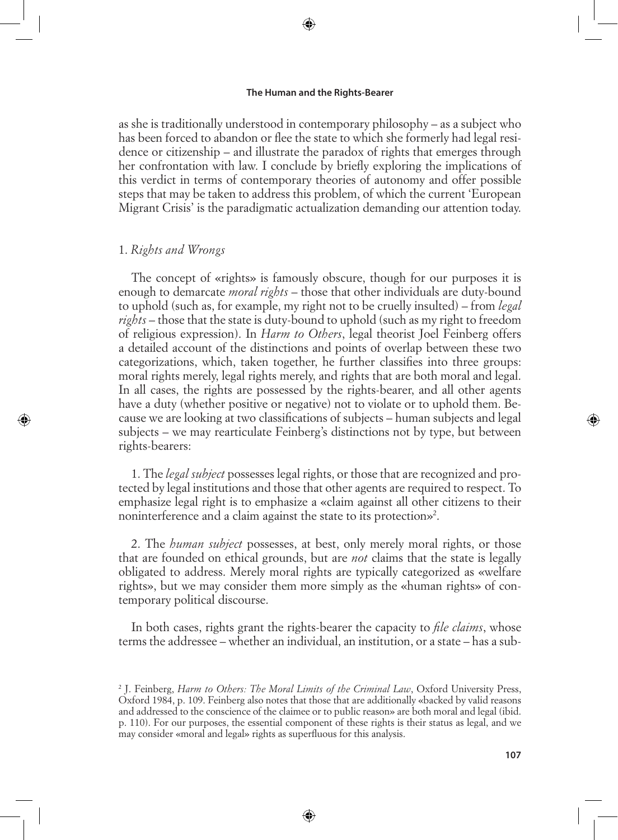⊕

as she is traditionally understood in contemporary philosophy – as a subject who has been forced to abandon or flee the state to which she formerly had legal residence or citizenship – and illustrate the paradox of rights that emerges through her confrontation with law. I conclude by briefly exploring the implications of this verdict in terms of contemporary theories of autonomy and offer possible steps that may be taken to address this problem, of which the current 'European Migrant Crisis' is the paradigmatic actualization demanding our attention today.

# 1. *Rights and Wrongs*

⊕

The concept of «rights» is famously obscure, though for our purposes it is enough to demarcate *moral rights* – those that other individuals are duty-bound to uphold (such as, for example, my right not to be cruelly insulted) – from *legal rights* – those that the state is duty-bound to uphold (such as my right to freedom of religious expression). In *Harm to Others*, legal theorist Joel Feinberg offers a detailed account of the distinctions and points of overlap between these two categorizations, which, taken together, he further classifies into three groups: moral rights merely, legal rights merely, and rights that are both moral and legal. In all cases, the rights are possessed by the rights-bearer, and all other agents have a duty (whether positive or negative) not to violate or to uphold them. Because we are looking at two classifications of subjects – human subjects and legal subjects – we may rearticulate Feinberg's distinctions not by type, but between rights-bearers:

1. The *legal subject* possesses legal rights, or those that are recognized and protected by legal institutions and those that other agents are required to respect. To emphasize legal right is to emphasize a «claim against all other citizens to their noninterference and a claim against the state to its protection»2 .

2. The *human subject* possesses, at best, only merely moral rights, or those that are founded on ethical grounds, but are *not* claims that the state is legally obligated to address. Merely moral rights are typically categorized as «welfare rights», but we may consider them more simply as the «human rights» of contemporary political discourse.

In both cases, rights grant the rights-bearer the capacity to *file claims*, whose terms the addressee – whether an individual, an institution, or a state – has a sub-

⊕

⇔

<sup>2</sup> J. Feinberg, *Harm to Others: The Moral Limits of the Criminal Law*, Oxford University Press, Oxford 1984, p. 109. Feinberg also notes that those that are additionally «backed by valid reasons and addressed to the conscience of the claimee or to public reason» are both moral and legal (ibid. p. 110). For our purposes, the essential component of these rights is their status as legal, and we may consider «moral and legal» rights as superfluous for this analysis.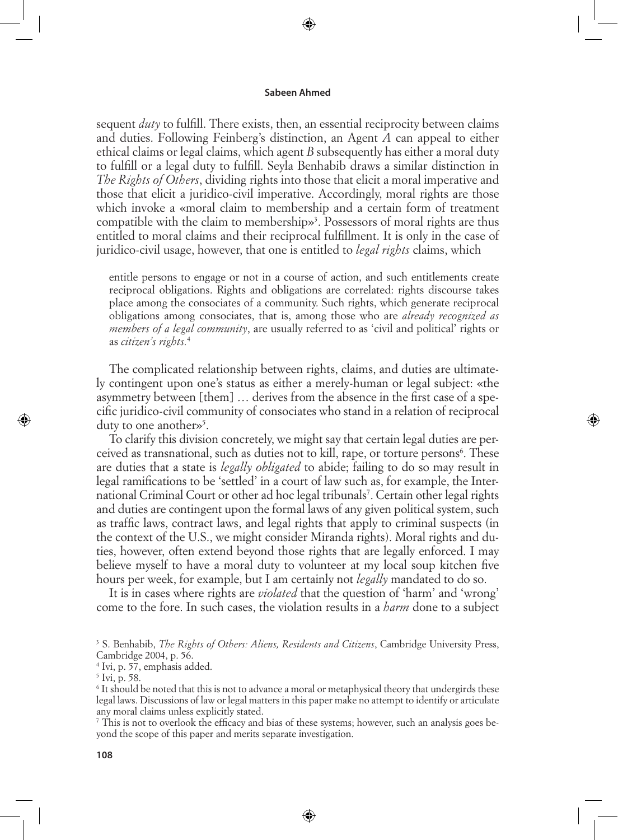⊕

sequent *duty* to fulfill. There exists, then, an essential reciprocity between claims and duties. Following Feinberg's distinction, an Agent *A* can appeal to either ethical claims or legal claims, which agent *B* subsequently has either a moral duty to fulfill or a legal duty to fulfill. Seyla Benhabib draws a similar distinction in *The Rights of Others*, dividing rights into those that elicit a moral imperative and those that elicit a juridico-civil imperative. Accordingly, moral rights are those which invoke a «moral claim to membership and a certain form of treatment compatible with the claim to membership»<sup>3</sup>. Possessors of moral rights are thus entitled to moral claims and their reciprocal fulfillment. It is only in the case of juridico-civil usage, however, that one is entitled to *legal rights* claims, which

entitle persons to engage or not in a course of action, and such entitlements create reciprocal obligations. Rights and obligations are correlated: rights discourse takes place among the consociates of a community. Such rights, which generate reciprocal obligations among consociates, that is, among those who are *already recognized as members of a legal community*, are usually referred to as 'civil and political' rights or as *citizen's rights.*<sup>4</sup>

The complicated relationship between rights, claims, and duties are ultimately contingent upon one's status as either a merely-human or legal subject: «the asymmetry between [them] … derives from the absence in the first case of a specific juridico-civil community of consociates who stand in a relation of reciprocal duty to one another»<sup>5</sup>.

⇔

To clarify this division concretely, we might say that certain legal duties are perceived as transnational, such as duties not to kill, rape, or torture persons<sup>6</sup>. These are duties that a state is *legally obligated* to abide; failing to do so may result in legal ramifications to be 'settled' in a court of law such as, for example, the International Criminal Court or other ad hoc legal tribunals<sup>7</sup>. Certain other legal rights and duties are contingent upon the formal laws of any given political system, such as traffic laws, contract laws, and legal rights that apply to criminal suspects (in the context of the U.S., we might consider Miranda rights). Moral rights and duties, however, often extend beyond those rights that are legally enforced. I may believe myself to have a moral duty to volunteer at my local soup kitchen five hours per week, for example, but I am certainly not *legally* mandated to do so.

It is in cases where rights are *violated* that the question of 'harm' and 'wrong' come to the fore. In such cases, the violation results in a *harm* done to a subject

⊕

7 This is not to overlook the efficacy and bias of these systems; however, such an analysis goes beyond the scope of this paper and merits separate investigation.

<sup>3</sup> S. Benhabib, *The Rights of Others: Aliens, Residents and Citizens*, Cambridge University Press, Cambridge 2004, p. 56.

<sup>4</sup> Ivi, p. 57, emphasis added.

<sup>5</sup> Ivi, p. 58.

<sup>6</sup> It should be noted that this is not to advance a moral or metaphysical theory that undergirds these legal laws. Discussions of law or legal matters in this paper make no attempt to identify or articulate any moral claims unless explicitly stated.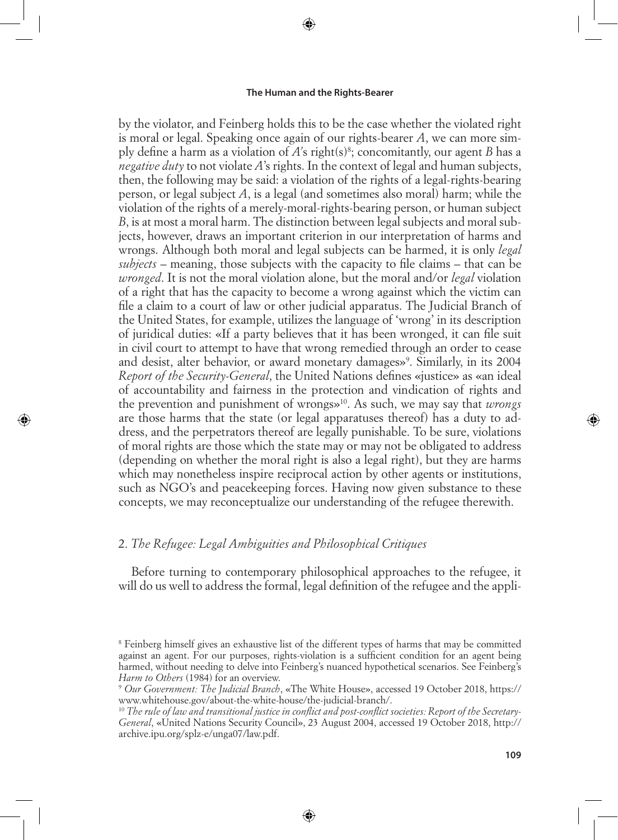⊕

by the violator, and Feinberg holds this to be the case whether the violated right is moral or legal. Speaking once again of our rights-bearer *A*, we can more simply define a harm as a violation of *A'*s right(s)8 ; concomitantly, our agent *B* has a *negative duty* to not violate *A*'s rights. In the context of legal and human subjects, then, the following may be said: a violation of the rights of a legal-rights-bearing person, or legal subject *A*, is a legal (and sometimes also moral) harm; while the violation of the rights of a merely-moral-rights-bearing person, or human subject *B*, is at most a moral harm. The distinction between legal subjects and moral subjects, however, draws an important criterion in our interpretation of harms and wrongs. Although both moral and legal subjects can be harmed, it is only *legal subjects* – meaning, those subjects with the capacity to file claims – that can be *wronged*. It is not the moral violation alone, but the moral and/or *legal* violation of a right that has the capacity to become a wrong against which the victim can file a claim to a court of law or other judicial apparatus. The Judicial Branch of the United States, for example, utilizes the language of 'wrong' in its description of juridical duties: «If a party believes that it has been wronged, it can file suit in civil court to attempt to have that wrong remedied through an order to cease and desist, alter behavior, or award monetary damages»<sup>9</sup>. Similarly, in its 2004 *Report of the Security-General*, the United Nations defines «justice» as «an ideal of accountability and fairness in the protection and vindication of rights and the prevention and punishment of wrongs»10. As such, we may say that *wrongs*  are those harms that the state (or legal apparatuses thereof) has a duty to address, and the perpetrators thereof are legally punishable. To be sure, violations of moral rights are those which the state may or may not be obligated to address (depending on whether the moral right is also a legal right), but they are harms which may nonetheless inspire reciprocal action by other agents or institutions, such as NGO's and peacekeeping forces. Having now given substance to these concepts, we may reconceptualize our understanding of the refugee therewith.

# 2. *The Refugee: Legal Ambiguities and Philosophical Critiques*

⊕

Before turning to contemporary philosophical approaches to the refugee, it will do us well to address the formal, legal definition of the refugee and the appli-

<sup>8</sup> Feinberg himself gives an exhaustive list of the different types of harms that may be committed against an agent. For our purposes, rights-violation is a sufficient condition for an agent being harmed, without needing to delve into Feinberg's nuanced hypothetical scenarios. See Feinberg's *Harm to Others* (1984) for an overview. *Purpenties: Wernment: 19 Our Government: The Judicial Branch*, «The White House», accessed 19 October 2018, https://

www.whitehouse.gov/about-the-white-house/the-judicial-branch/.

<sup>10</sup> *The rule of law and transitional justice in conflict and post-conflict societies: Report of the Secretary-General*, «United Nations Security Council», 23 August 2004, accessed 19 October 2018, http:// archive.ipu.org/splz-e/unga07/law.pdf.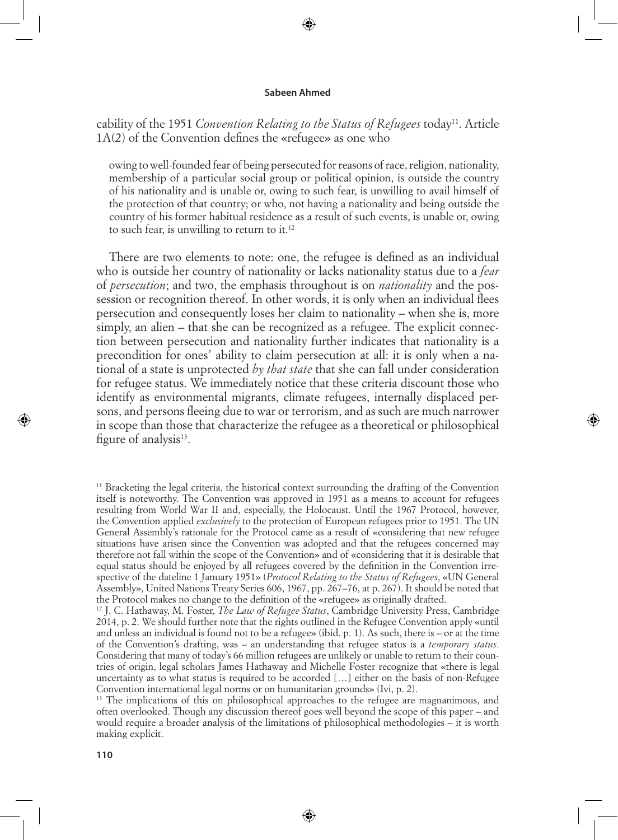⊕

# cability of the 1951 *Convention Relating to the Status of Refugees* today<sup>11</sup>. Article 1A(2) of the Convention defines the «refugee» as one who

owing to well-founded fear of being persecuted for reasons of race, religion, nationality, membership of a particular social group or political opinion, is outside the country of his nationality and is unable or, owing to such fear, is unwilling to avail himself of the protection of that country; or who, not having a nationality and being outside the country of his former habitual residence as a result of such events, is unable or, owing to such fear, is unwilling to return to it.<sup>12</sup>

There are two elements to note: one, the refugee is defined as an individual who is outside her country of nationality or lacks nationality status due to a *fear*  of *persecution*; and two, the emphasis throughout is on *nationality* and the possession or recognition thereof. In other words, it is only when an individual flees persecution and consequently loses her claim to nationality – when she is, more simply, an alien – that she can be recognized as a refugee. The explicit connection between persecution and nationality further indicates that nationality is a precondition for ones' ability to claim persecution at all: it is only when a national of a state is unprotected *by that state* that she can fall under consideration for refugee status. We immediately notice that these criteria discount those who identify as environmental migrants, climate refugees, internally displaced persons, and persons fleeing due to war or terrorism, and as such are much narrower in scope than those that characterize the refugee as a theoretical or philosophical figure of analysis $^{13}$ .

<sup>13</sup> The implications of this on philosophical approaches to the refugee are magnanimous, and often overlooked. Though any discussion thereof goes well beyond the scope of this paper – and would require a broader analysis of the limitations of philosophical methodologies – it is worth making explicit.

⊕

<sup>&</sup>lt;sup>11</sup> Bracketing the legal criteria, the historical context surrounding the drafting of the Convention itself is noteworthy. The Convention was approved in 1951 as a means to account for refugees resulting from World War II and, especially, the Holocaust. Until the 1967 Protocol, however, the Convention applied *exclusively* to the protection of European refugees prior to 1951. The UN General Assembly's rationale for the Protocol came as a result of «considering that new refugee situations have arisen since the Convention was adopted and that the refugees concerned may therefore not fall within the scope of the Convention» and of «considering that it is desirable that equal status should be enjoyed by all refugees covered by the definition in the Convention irrespective of the dateline 1 January 1951» (*Protocol Relating to the Status of Refugees*, «UN General Assembly», United Nations Treaty Series 606, 1967, pp. 267–76, at p. 267). It should be noted that the Protocol makes no change to the definition of the «refugee» as originally drafted.

<sup>12</sup> J. C. Hathaway, M. Foster, *The Law of Refugee Status*, Cambridge University Press, Cambridge 2014, p. 2. We should further note that the rights outlined in the Refugee Convention apply «until and unless an individual is found not to be a refugee» (ibid. p. 1). As such, there is – or at the time of the Convention's drafting, was – an understanding that refugee status is a *temporary status*. Considering that many of today's 66 million refugees are unlikely or unable to return to their countries of origin, legal scholars James Hathaway and Michelle Foster recognize that «there is legal uncertainty as to what status is required to be accorded […] either on the basis of non-Refugee Convention international legal norms or on humanitarian grounds» (Ivi, p. 2).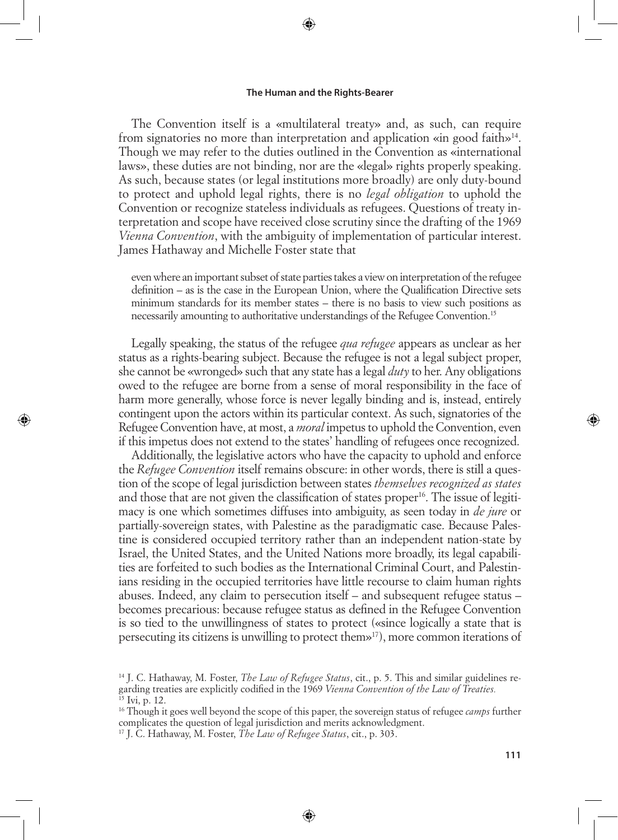⊕

The Convention itself is a «multilateral treaty» and, as such, can require from signatories no more than interpretation and application «in good faith»14. Though we may refer to the duties outlined in the Convention as «international laws», these duties are not binding, nor are the «legal» rights properly speaking. As such, because states (or legal institutions more broadly) are only duty-bound to protect and uphold legal rights, there is no *legal obligation* to uphold the Convention or recognize stateless individuals as refugees. Questions of treaty interpretation and scope have received close scrutiny since the drafting of the 1969 *Vienna Convention*, with the ambiguity of implementation of particular interest. James Hathaway and Michelle Foster state that

even where an important subset of state parties takes a view on interpretation of the refugee definition – as is the case in the European Union, where the Qualification Directive sets minimum standards for its member states – there is no basis to view such positions as necessarily amounting to authoritative understandings of the Refugee Convention.15

Legally speaking, the status of the refugee *qua refugee* appears as unclear as her status as a rights-bearing subject. Because the refugee is not a legal subject proper, she cannot be «wronged» such that any state has a legal *duty* to her. Any obligations owed to the refugee are borne from a sense of moral responsibility in the face of harm more generally, whose force is never legally binding and is, instead, entirely contingent upon the actors within its particular context. As such, signatories of the Refugee Convention have, at most, a *moral* impetus to uphold the Convention, even if this impetus does not extend to the states' handling of refugees once recognized.

Additionally, the legislative actors who have the capacity to uphold and enforce the *Refugee Convention* itself remains obscure: in other words, there is still a question of the scope of legal jurisdiction between states *themselves recognized as states* and those that are not given the classification of states proper<sup>16</sup>. The issue of legitimacy is one which sometimes diffuses into ambiguity, as seen today in *de jure* or partially-sovereign states, with Palestine as the paradigmatic case. Because Palestine is considered occupied territory rather than an independent nation-state by Israel, the United States, and the United Nations more broadly, its legal capabilities are forfeited to such bodies as the International Criminal Court, and Palestinians residing in the occupied territories have little recourse to claim human rights abuses. Indeed, any claim to persecution itself – and subsequent refugee status – becomes precarious: because refugee status as defined in the Refugee Convention is so tied to the unwillingness of states to protect («since logically a state that is persecuting its citizens is unwilling to protect them»17), more common iterations of

⊕

<sup>14</sup> J. C. Hathaway, M. Foster, *The Law of Refugee Status*, cit., p. 5. This and similar guidelines regarding treaties are explicitly codified in the 1969 *Vienna Convention of the Law of Treaties.* 15 Ivi, p. 12.

<sup>16</sup> Though it goes well beyond the scope of this paper, the sovereign status of refugee *camps* further complicates the question of legal jurisdiction and merits acknowledgment.

<sup>17</sup> J. C. Hathaway, M. Foster, *The Law of Refugee Status*, cit., p. 303.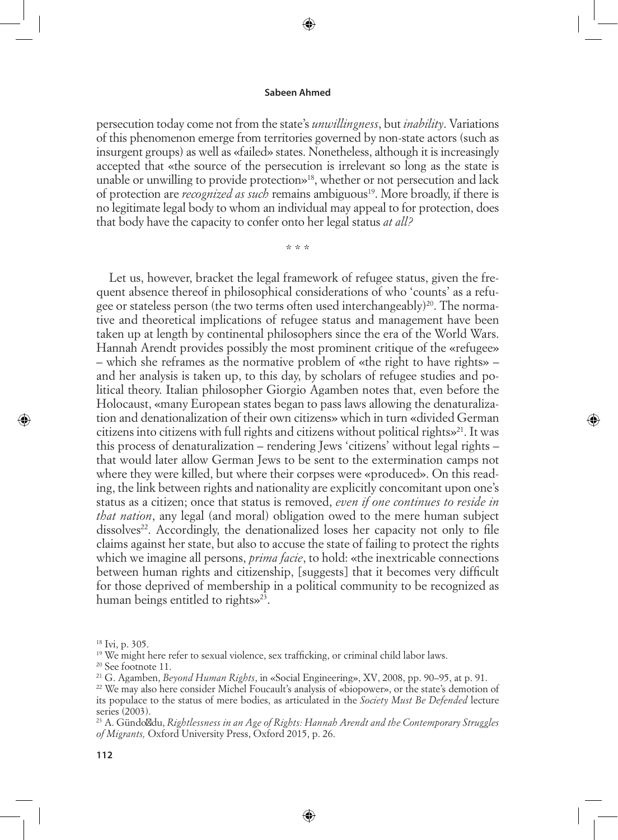persecution today come not from the state's *unwillingness*, but *inability*. Variations of this phenomenon emerge from territories governed by non-state actors (such as insurgent groups) as well as «failed» states. Nonetheless, although it is increasingly accepted that «the source of the persecution is irrelevant so long as the state is unable or unwilling to provide protection»18, whether or not persecution and lack of protection are *recognized as such* remains ambiguous19. More broadly, if there is no legitimate legal body to whom an individual may appeal to for protection, does that body have the capacity to confer onto her legal status *at all?*

\* \* \*

Let us, however, bracket the legal framework of refugee status, given the frequent absence thereof in philosophical considerations of who 'counts' as a refugee or stateless person (the two terms often used interchangeably)<sup>20</sup>. The normative and theoretical implications of refugee status and management have been taken up at length by continental philosophers since the era of the World Wars. Hannah Arendt provides possibly the most prominent critique of the «refugee» – which she reframes as the normative problem of «the right to have rights» – and her analysis is taken up, to this day, by scholars of refugee studies and political theory. Italian philosopher Giorgio Agamben notes that, even before the Holocaust, «many European states began to pass laws allowing the denaturalization and denationalization of their own citizens» which in turn «divided German citizens into citizens with full rights and citizens without political rights $\mathbf{v}^{21}$ . It was this process of denaturalization – rendering Jews 'citizens' without legal rights – that would later allow German Jews to be sent to the extermination camps not where they were killed, but where their corpses were «produced». On this reading, the link between rights and nationality are explicitly concomitant upon one's status as a citizen; once that status is removed, *even if one continues to reside in that nation*, any legal (and moral) obligation owed to the mere human subject dissolves<sup>22</sup>. Accordingly, the denationalized loses her capacity not only to file claims against her state, but also to accuse the state of failing to protect the rights which we imagine all persons, *prima facie*, to hold: «the inextricable connections between human rights and citizenship, [suggests] that it becomes very difficult for those deprived of membership in a political community to be recognized as human beings entitled to rights»<sup>23</sup>.

⇔

⊕

22 We may also here consider Michel Foucault's analysis of «biopower», or the state's demotion of its populace to the status of mere bodies, as articulated in the *Society Must Be Defended* lecture series (2003).

23 A. Gündo du, *Rightlessness in an Age of Rights: Hannah Arendt and the Contemporary Struggles of Migrants,* Oxford University Press, Oxford 2015, p. 26.

 $18$  Ivi, p. 305.

<sup>&</sup>lt;sup>19</sup> We might here refer to sexual violence, sex trafficking, or criminal child labor laws.

<sup>20</sup> See footnote 11.

<sup>21</sup> G. Agamben, *Beyond Human Rights*, in «Social Engineering», XV, 2008, pp. 90–95, at p. 91.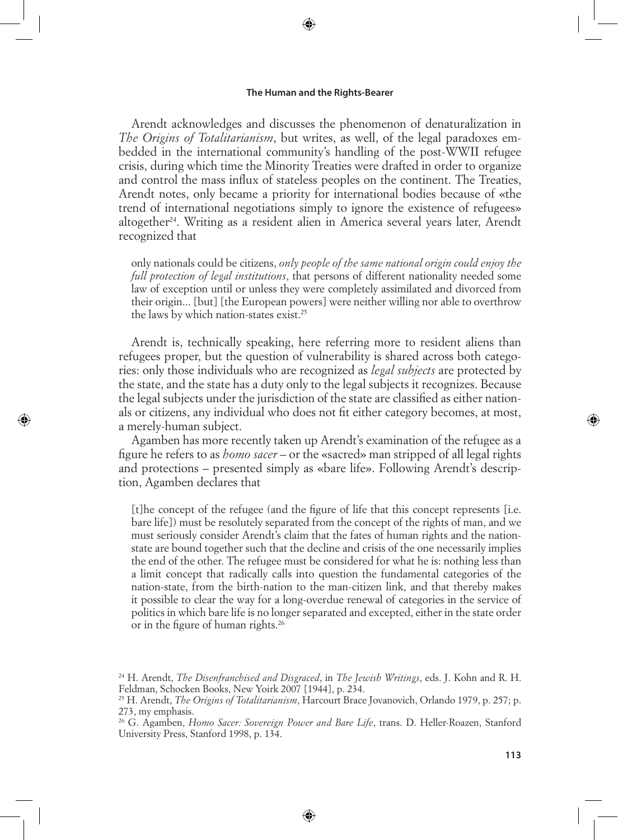⊕

Arendt acknowledges and discusses the phenomenon of denaturalization in *The Origins of Totalitarianism*, but writes, as well, of the legal paradoxes embedded in the international community's handling of the post-WWII refugee crisis, during which time the Minority Treaties were drafted in order to organize and control the mass influx of stateless peoples on the continent. The Treaties, Arendt notes, only became a priority for international bodies because of «the trend of international negotiations simply to ignore the existence of refugees» altogether<sup>24</sup>. Writing as a resident alien in America several years later, Arendt recognized that

only nationals could be citizens, *only people of the same national origin could enjoy the full protection of legal institutions*, that persons of different nationality needed some law of exception until or unless they were completely assimilated and divorced from their origin... [but] [the European powers] were neither willing nor able to overthrow the laws by which nation-states exist.25

Arendt is, technically speaking, here referring more to resident aliens than refugees proper, but the question of vulnerability is shared across both categories: only those individuals who are recognized as *legal subjects* are protected by the state, and the state has a duty only to the legal subjects it recognizes. Because the legal subjects under the jurisdiction of the state are classified as either nationals or citizens, any individual who does not fit either category becomes, at most, a merely-human subject.

⊕

Agamben has more recently taken up Arendt's examination of the refugee as a figure he refers to as *homo sacer* – or the «sacred» man stripped of all legal rights and protections – presented simply as «bare life». Following Arendt's description, Agamben declares that

[t]he concept of the refugee (and the figure of life that this concept represents [i.e. bare life]) must be resolutely separated from the concept of the rights of man, and we must seriously consider Arendt's claim that the fates of human rights and the nationstate are bound together such that the decline and crisis of the one necessarily implies the end of the other. The refugee must be considered for what he is: nothing less than a limit concept that radically calls into question the fundamental categories of the nation-state, from the birth-nation to the man-citizen link, and that thereby makes it possible to clear the way for a long-overdue renewal of categories in the service of politics in which bare life is no longer separated and excepted, either in the state order or in the figure of human rights.26

⊕

<sup>24</sup> H. Arendt, *The Disenfranchised and Disgraced*, in *The Jewish Writings*, eds. J. Kohn and R. H. Feldman, Schocken Books, New Yoirk 2007 [1944], p. 234.

<sup>25</sup> H. Arendt, *The Origins of Totalitarianism*, Harcourt Brace Jovanovich, Orlando 1979, p. 257; p. 273, my emphasis.

<sup>26</sup> G. Agamben, *Homo Sacer: Sovereign Power and Bare Life*, trans. D. Heller-Roazen, Stanford University Press, Stanford 1998, p. 134.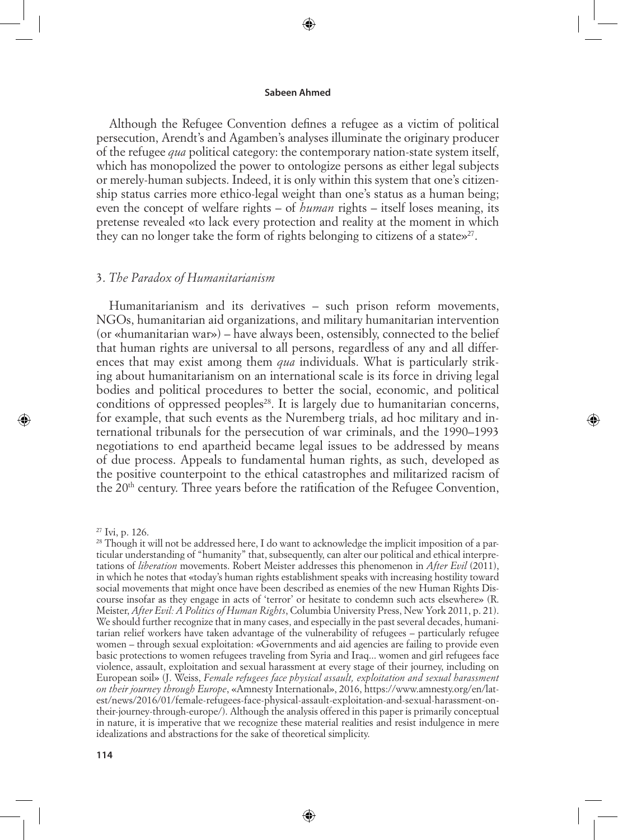⊕

Although the Refugee Convention defines a refugee as a victim of political persecution, Arendt's and Agamben's analyses illuminate the originary producer of the refugee *qua* political category: the contemporary nation-state system itself, which has monopolized the power to ontologize persons as either legal subjects or merely-human subjects. Indeed, it is only within this system that one's citizenship status carries more ethico-legal weight than one's status as a human being; even the concept of welfare rights – of *human* rights – itself loses meaning, its pretense revealed «to lack every protection and reality at the moment in which they can no longer take the form of rights belonging to citizens of a states  $2^7$ .

# 3. *The Paradox of Humanitarianism*

Humanitarianism and its derivatives – such prison reform movements, NGOs, humanitarian aid organizations, and military humanitarian intervention (or «humanitarian war») – have always been, ostensibly, connected to the belief that human rights are universal to all persons, regardless of any and all differences that may exist among them *qua* individuals. What is particularly striking about humanitarianism on an international scale is its force in driving legal bodies and political procedures to better the social, economic, and political conditions of oppressed peoples<sup>28</sup>. It is largely due to humanitarian concerns, for example, that such events as the Nuremberg trials, ad hoc military and international tribunals for the persecution of war criminals, and the 1990–1993 negotiations to end apartheid became legal issues to be addressed by means of due process. Appeals to fundamental human rights, as such, developed as the positive counterpoint to the ethical catastrophes and militarized racism of the 20<sup>th</sup> century. Three years before the ratification of the Refugee Convention,

27 Ivi, p. 126.

⊕

<sup>&</sup>lt;sup>28</sup> Though it will not be addressed here, I do want to acknowledge the implicit imposition of a particular understanding of "humanity" that, subsequently, can alter our political and ethical interpretations of *liberation* movements. Robert Meister addresses this phenomenon in *After Evil* (2011), in which he notes that «today's human rights establishment speaks with increasing hostility toward social movements that might once have been described as enemies of the new Human Rights Discourse insofar as they engage in acts of 'terror' or hesitate to condemn such acts elsewhere» (R. Meister, *After Evil: A Politics of Human Rights*, Columbia University Press, New York 2011, p. 21). We should further recognize that in many cases, and especially in the past several decades, humanitarian relief workers have taken advantage of the vulnerability of refugees – particularly refugee women – through sexual exploitation: «Governments and aid agencies are failing to provide even basic protections to women refugees traveling from Syria and Iraq... women and girl refugees face violence, assault, exploitation and sexual harassment at every stage of their journey, including on European soil» (J. Weiss, *Female refugees face physical assault, exploitation and sexual harassment on their journey through Europe*, «Amnesty International», 2016, https://www.amnesty.org/en/latest/news/2016/01/female-refugees-face-physical-assault-exploitation-and-sexual-harassment-ontheir-journey-through-europe/). Although the analysis offered in this paper is primarily conceptual in nature, it is imperative that we recognize these material realities and resist indulgence in mere idealizations and abstractions for the sake of theoretical simplicity.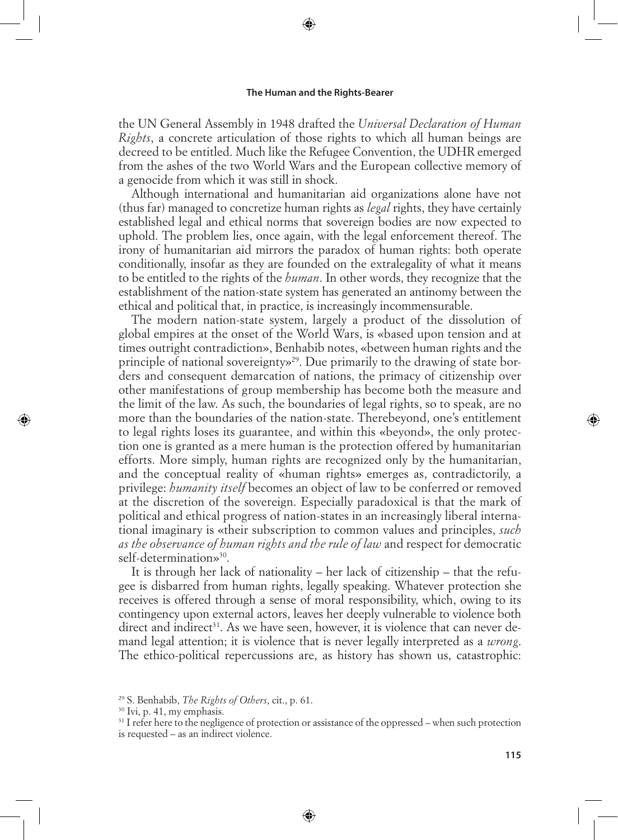↔

the UN General Assembly in 1948 drafted the *Universal Declaration of Human Rights*, a concrete articulation of those rights to which all human beings are decreed to be entitled. Much like the Refugee Convention, the UDHR emerged from the ashes of the two World Wars and the European collective memory of a genocide from which it was still in shock.

Although international and humanitarian aid organizations alone have not (thus far) managed to concretize human rights as *legal* rights, they have certainly established legal and ethical norms that sovereign bodies are now expected to uphold. The problem lies, once again, with the legal enforcement thereof. The irony of humanitarian aid mirrors the paradox of human rights: both operate conditionally, insofar as they are founded on the extralegality of what it means to be entitled to the rights of the *human*. In other words, they recognize that the establishment of the nation-state system has generated an antinomy between the ethical and political that, in practice, is increasingly incommensurable.

The modern nation-state system, largely a product of the dissolution of global empires at the onset of the World Wars, is «based upon tension and at times outright contradiction», Benhabib notes, «between human rights and the principle of national sovereignty»29. Due primarily to the drawing of state borders and consequent demarcation of nations, the primacy of citizenship over other manifestations of group membership has become both the measure and the limit of the law. As such, the boundaries of legal rights, so to speak, are no more than the boundaries of the nation-state. Therebeyond, one's entitlement to legal rights loses its guarantee, and within this «beyond», the only protection one is granted as a mere human is the protection offered by humanitarian efforts. More simply, human rights are recognized only by the humanitarian, and the conceptual reality of «human rights» emerges as, contradictorily, a privilege: *humanity itself* becomes an object of law to be conferred or removed at the discretion of the sovereign. Especially paradoxical is that the mark of political and ethical progress of nation-states in an increasingly liberal international imaginary is «their subscription to common values and principles, *such as the observance of human rights and the rule of law* and respect for democratic self-determination»<sup>30</sup>.

It is through her lack of nationality – her lack of citizenship – that the refugee is disbarred from human rights, legally speaking. Whatever protection she receives is offered through a sense of moral responsibility, which, owing to its contingency upon external actors, leaves her deeply vulnerable to violence both direct and indirect<sup>31</sup>. As we have seen, however, it is violence that can never demand legal attention; it is violence that is never legally interpreted as a *wrong*. The ethico-political repercussions are, as history has shown us, catastrophic:

⊕

⊕

⇔

<sup>29</sup> S. Benhabib, *The Rights of Others*, cit., p. 61.

<sup>&</sup>lt;sup>30</sup> Ivi, p. 41, my emphasis.

<sup>&</sup>lt;sup>31</sup> I refer here to the negligence of protection or assistance of the oppressed – when such protection is requested – as an indirect violence.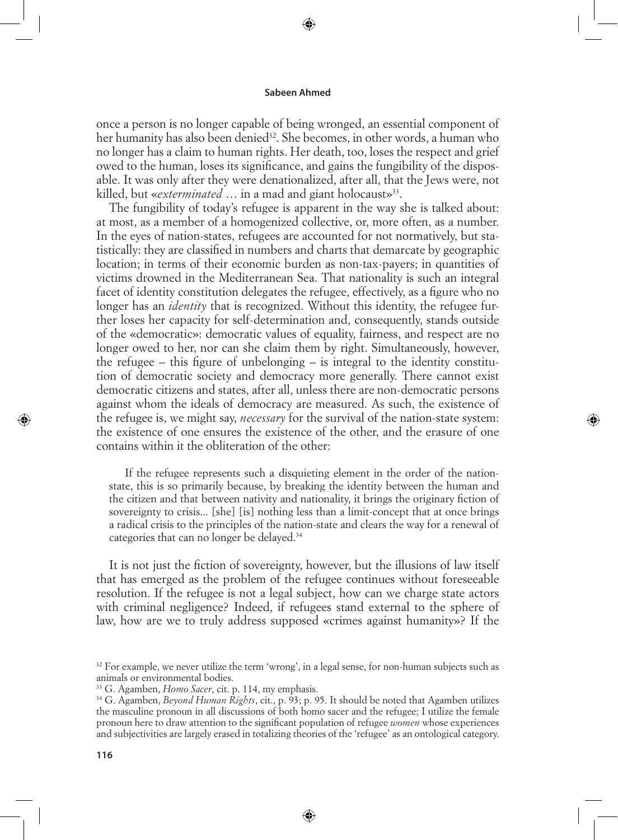⊕

once a person is no longer capable of being wronged, an essential component of her humanity has also been denied<sup>32</sup>. She becomes, in other words, a human who no longer has a claim to human rights. Her death, too, loses the respect and grief owed to the human, loses its significance, and gains the fungibility of the disposable. It was only after they were denationalized, after all, that the Jews were, not killed, but «*exterminated* ... in a mad and giant holocaust»<sup>33</sup>.

The fungibility of today's refugee is apparent in the way she is talked about: at most, as a member of a homogenized collective, or, more often, as a number. In the eyes of nation-states, refugees are accounted for not normatively, but statistically: they are classified in numbers and charts that demarcate by geographic location; in terms of their economic burden as non-tax-payers; in quantities of victims drowned in the Mediterranean Sea. That nationality is such an integral facet of identity constitution delegates the refugee, effectively, as a figure who no longer has an *identity* that is recognized. Without this identity, the refugee further loses her capacity for self-determination and, consequently, stands outside of the «democratic»: democratic values of equality, fairness, and respect are no longer owed to her, nor can she claim them by right. Simultaneously, however, the refugee – this figure of unbelonging – is integral to the identity constitution of democratic society and democracy more generally. There cannot exist democratic citizens and states, after all, unless there are non-democratic persons against whom the ideals of democracy are measured. As such, the existence of the refugee is, we might say, *necessary* for the survival of the nation-state system: the existence of one ensures the existence of the other, and the erasure of one contains within it the obliteration of the other:

If the refugee represents such a disquieting element in the order of the nationstate, this is so primarily because, by breaking the identity between the human and the citizen and that between nativity and nationality, it brings the originary fiction of sovereignty to crisis... [she] [is] nothing less than a limit-concept that at once brings a radical crisis to the principles of the nation-state and clears the way for a renewal of categories that can no longer be delayed.34

⇔

It is not just the fiction of sovereignty, however, but the illusions of law itself that has emerged as the problem of the refugee continues without foreseeable resolution. If the refugee is not a legal subject, how can we charge state actors with criminal negligence? Indeed, if refugees stand external to the sphere of law, how are we to truly address supposed «crimes against humanity»? If the

33 G. Agamben, *Homo Sacer*, cit. p. 114, my emphasis.

⊕

 $32$  For example, we never utilize the term 'wrong', in a legal sense, for non-human subjects such as animals or environmental bodies.

<sup>34</sup> G. Agamben, *Beyond Human Rights*, cit., p. 93; p. 95. It should be noted that Agamben utilizes the masculine pronoun in all discussions of both homo sacer and the refugee; I utilize the female pronoun here to draw attention to the significant population of refugee *women* whose experiences and subjectivities are largely erased in totalizing theories of the 'refugee' as an ontological category.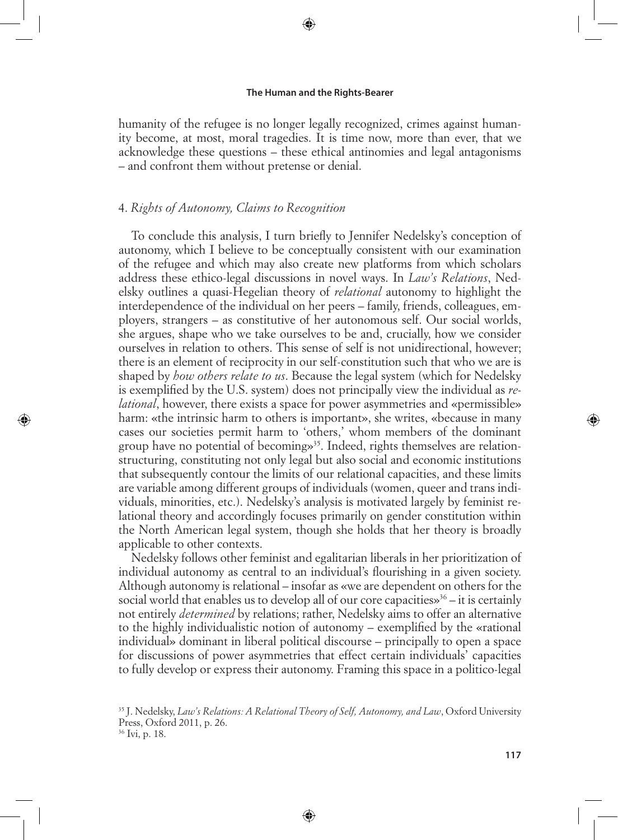⊕

humanity of the refugee is no longer legally recognized, crimes against humanity become, at most, moral tragedies. It is time now, more than ever, that we acknowledge these questions – these ethical antinomies and legal antagonisms – and confront them without pretense or denial.

# 4. *Rights of Autonomy, Claims to Recognition*

To conclude this analysis, I turn briefly to Jennifer Nedelsky's conception of autonomy, which I believe to be conceptually consistent with our examination of the refugee and which may also create new platforms from which scholars address these ethico-legal discussions in novel ways. In *Law's Relations*, Nedelsky outlines a quasi-Hegelian theory of *relational* autonomy to highlight the interdependence of the individual on her peers – family, friends, colleagues, employers, strangers – as constitutive of her autonomous self. Our social worlds, she argues, shape who we take ourselves to be and, crucially, how we consider ourselves in relation to others. This sense of self is not unidirectional, however; there is an element of reciprocity in our self-constitution such that who we are is shaped by *how others relate to us*. Because the legal system (which for Nedelsky is exemplified by the U.S. system) does not principally view the individual as *relational*, however, there exists a space for power asymmetries and «permissible» harm: «the intrinsic harm to others is important», she writes, «because in many cases our societies permit harm to 'others,' whom members of the dominant group have no potential of becomings<sup>35</sup>. Indeed, rights themselves are relationstructuring, constituting not only legal but also social and economic institutions that subsequently contour the limits of our relational capacities, and these limits are variable among different groups of individuals (women, queer and trans individuals, minorities, etc.). Nedelsky's analysis is motivated largely by feminist relational theory and accordingly focuses primarily on gender constitution within the North American legal system, though she holds that her theory is broadly applicable to other contexts.

Nedelsky follows other feminist and egalitarian liberals in her prioritization of individual autonomy as central to an individual's flourishing in a given society. Although autonomy is relational – insofar as «we are dependent on others for the social world that enables us to develop all of our core capacities»<sup>36</sup> – it is certainly not entirely *determined* by relations; rather, Nedelsky aims to offer an alternative to the highly individualistic notion of autonomy – exemplified by the «rational individual» dominant in liberal political discourse – principally to open a space for discussions of power asymmetries that effect certain individuals' capacities to fully develop or express their autonomy. Framing this space in a politico-legal

⊕

⊕

<sup>35</sup> J. Nedelsky, *Law's Relations: A Relational Theory of Self, Autonomy, and Law*, Oxford University Press, Oxford 2011, p. 26.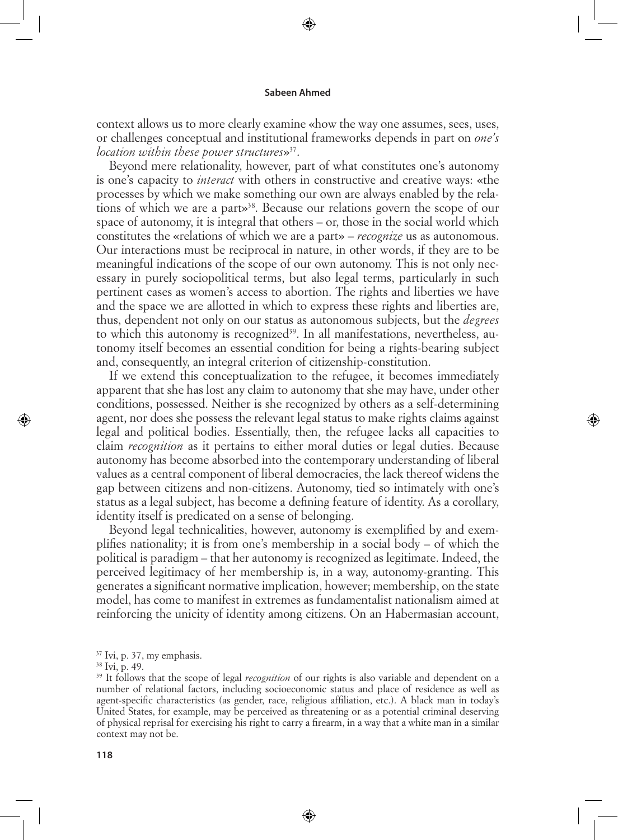⊕

context allows us to more clearly examine «how the way one assumes, sees, uses, or challenges conceptual and institutional frameworks depends in part on *one's location within these power structures*»37.

Beyond mere relationality, however, part of what constitutes one's autonomy is one's capacity to *interact* with others in constructive and creative ways: «the processes by which we make something our own are always enabled by the relations of which we are a part»<sup>38</sup>. Because our relations govern the scope of our space of autonomy, it is integral that others – or, those in the social world which constitutes the «relations of which we are a part» – *recognize* us as autonomous. Our interactions must be reciprocal in nature, in other words, if they are to be meaningful indications of the scope of our own autonomy. This is not only necessary in purely sociopolitical terms, but also legal terms, particularly in such pertinent cases as women's access to abortion. The rights and liberties we have and the space we are allotted in which to express these rights and liberties are, thus, dependent not only on our status as autonomous subjects, but the *degrees* to which this autonomy is recognized<sup>39</sup>. In all manifestations, nevertheless, autonomy itself becomes an essential condition for being a rights-bearing subject and, consequently, an integral criterion of citizenship-constitution.

If we extend this conceptualization to the refugee, it becomes immediately apparent that she has lost any claim to autonomy that she may have, under other conditions, possessed. Neither is she recognized by others as a self-determining agent, nor does she possess the relevant legal status to make rights claims against legal and political bodies. Essentially, then, the refugee lacks all capacities to claim *recognition* as it pertains to either moral duties or legal duties. Because autonomy has become absorbed into the contemporary understanding of liberal values as a central component of liberal democracies, the lack thereof widens the gap between citizens and non-citizens. Autonomy, tied so intimately with one's status as a legal subject, has become a defining feature of identity. As a corollary, identity itself is predicated on a sense of belonging.

Beyond legal technicalities, however, autonomy is exemplified by and exemplifies nationality; it is from one's membership in a social body – of which the political is paradigm – that her autonomy is recognized as legitimate. Indeed, the perceived legitimacy of her membership is, in a way, autonomy-granting. This generates a significant normative implication, however; membership, on the state model, has come to manifest in extremes as fundamentalist nationalism aimed at reinforcing the unicity of identity among citizens. On an Habermasian account,

⊕

<sup>37</sup> Ivi, p. 37, my emphasis.

<sup>38</sup> Ivi, p. 49.

<sup>&</sup>lt;sup>39</sup> It follows that the scope of legal *recognition* of our rights is also variable and dependent on a number of relational factors, including socioeconomic status and place of residence as well as agent-specific characteristics (as gender, race, religious affiliation, etc.). A black man in today's United States, for example, may be perceived as threatening or as a potential criminal deserving of physical reprisal for exercising his right to carry a firearm, in a way that a white man in a similar context may not be.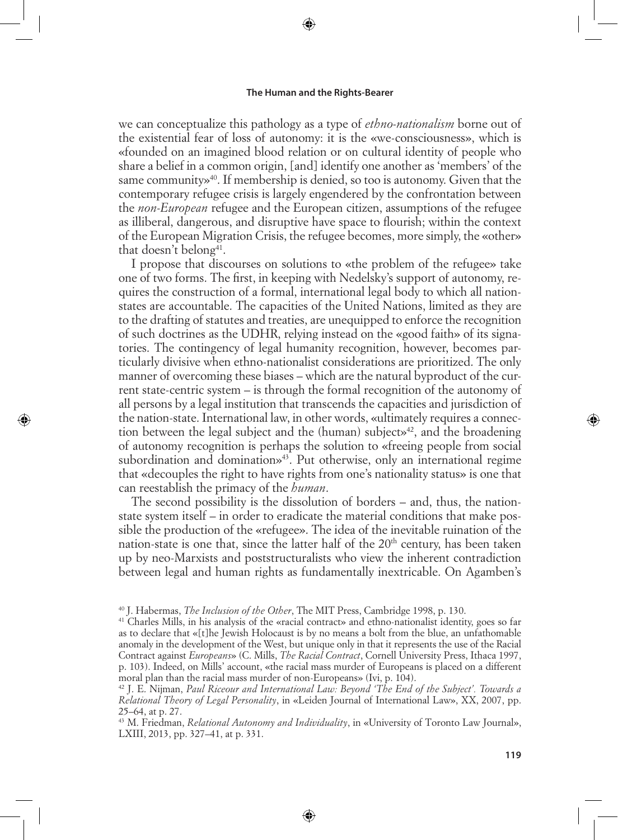⊕

we can conceptualize this pathology as a type of *ethno-nationalism* borne out of the existential fear of loss of autonomy: it is the «we-consciousness», which is «founded on an imagined blood relation or on cultural identity of people who share a belief in a common origin, [and] identify one another as 'members' of the same community»<sup>40</sup>. If membership is denied, so too is autonomy. Given that the contemporary refugee crisis is largely engendered by the confrontation between the *non-European* refugee and the European citizen, assumptions of the refugee as illiberal, dangerous, and disruptive have space to flourish; within the context of the European Migration Crisis, the refugee becomes, more simply, the «other» that doesn't belong<sup>41</sup>.

I propose that discourses on solutions to «the problem of the refugee» take one of two forms. The first, in keeping with Nedelsky's support of autonomy, requires the construction of a formal, international legal body to which all nationstates are accountable. The capacities of the United Nations, limited as they are to the drafting of statutes and treaties, are unequipped to enforce the recognition of such doctrines as the UDHR, relying instead on the «good faith» of its signatories. The contingency of legal humanity recognition, however, becomes particularly divisive when ethno-nationalist considerations are prioritized. The only manner of overcoming these biases – which are the natural byproduct of the current state-centric system – is through the formal recognition of the autonomy of all persons by a legal institution that transcends the capacities and jurisdiction of the nation-state. International law, in other words, «ultimately requires a connection between the legal subject and the (human) subjects  $42$ , and the broadening of autonomy recognition is perhaps the solution to «freeing people from social subordination and domination»43. Put otherwise, only an international regime that «decouples the right to have rights from one's nationality status» is one that can reestablish the primacy of the *human*.

⊕

The second possibility is the dissolution of borders – and, thus, the nationstate system itself – in order to eradicate the material conditions that make possible the production of the «refugee». The idea of the inevitable ruination of the nation-state is one that, since the latter half of the  $20<sup>th</sup>$  century, has been taken up by neo-Marxists and poststructuralists who view the inherent contradiction between legal and human rights as fundamentally inextricable. On Agamben's

<sup>40</sup> J. Habermas, *The Inclusion of the Other*, The MIT Press, Cambridge 1998, p. 130.

<sup>41</sup> Charles Mills, in his analysis of the «racial contract» and ethno-nationalist identity, goes so far as to declare that «[t]he Jewish Holocaust is by no means a bolt from the blue, an unfathomable anomaly in the development of the West, but unique only in that it represents the use of the Racial Contract against *Europeans*» (C. Mills, *The Racial Contract*, Cornell University Press, Ithaca 1997, p. 103). Indeed, on Mills' account, «the racial mass murder of Europeans is placed on a different moral plan than the racial mass murder of non-Europeans» (Ivi, p. 104).

<sup>42</sup> J. E. Nijman, *Paul Riceour and International Law: Beyond 'The End of the Subject'. Towards a Relational Theory of Legal Personality*, in «Leiden Journal of International Law», XX, 2007, pp. 25–64, at p. 27.

<sup>43</sup> M. Friedman, *Relational Autonomy and Individuality*, in «University of Toronto Law Journal», LXIII, 2013, pp. 327–41, at p. 331.